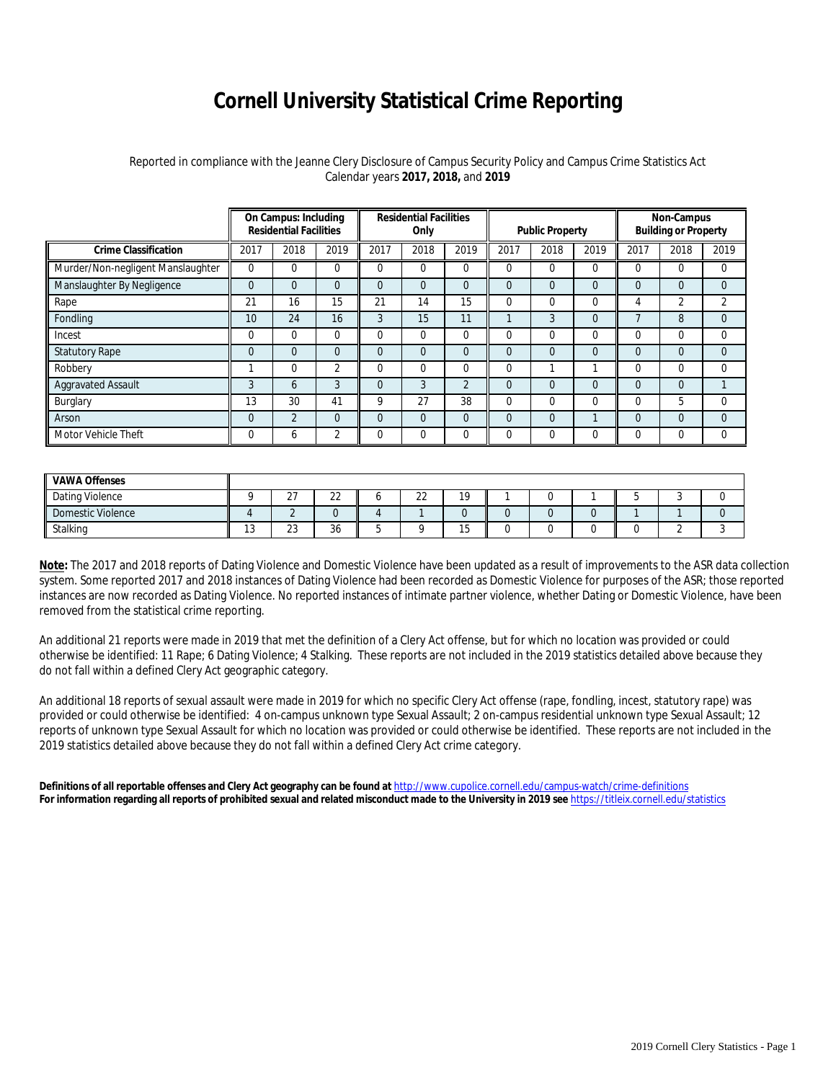## **Cornell University Statistical Crime Reporting**

## Reported in compliance with the Jeanne Clery Disclosure of Campus Security Policy and Campus Crime Statistics Act Calendar years **2017, 2018,** and **2019**

|                                   | On Campus: Including<br><b>Residential Facilities</b> |                |          | <b>Residential Facilities</b><br>Only |                |                | <b>Public Property</b> |          |          | Non-Campus<br><b>Building or Property</b> |          |              |
|-----------------------------------|-------------------------------------------------------|----------------|----------|---------------------------------------|----------------|----------------|------------------------|----------|----------|-------------------------------------------|----------|--------------|
| <b>Crime Classification</b>       | 2017                                                  | 2018           | 2019     | 2017                                  | 2018           | 2019           | 2017                   | 2018     | 2019     | 2017                                      | 2018     | 2019         |
| Murder/Non-negligent Manslaughter | $\Omega$                                              | 0              | 0        | $\Omega$                              | $\mathbf 0$    | $\Omega$       | 0                      | 0        | $\Omega$ | $\Omega$                                  | $\Omega$ | $\mathbf 0$  |
| Manslaughter By Negligence        | $\Omega$                                              | $\overline{0}$ | $\Omega$ | $\Omega$                              | $\Omega$       | $\Omega$       | $\Omega$               | 0        | $\Omega$ | $\Omega$                                  | $\Omega$ | $\Omega$     |
| Rape                              | 21                                                    | 16             | 15       | 21                                    | 14             | 15             | 0                      | 0        | 0        | 4                                         | 2        | 2            |
| Fondling                          | 10                                                    | 24             | 16       | 3                                     | 15             | 11             |                        | 3        | $\Omega$ | -                                         | 8        | $\mathbf{0}$ |
| Incest                            | $\Omega$                                              | $\Omega$       | 0        | $\Omega$                              | $\Omega$       | $\Omega$       | $\Omega$               | 0        | $\Omega$ | $\Omega$                                  | 0        | $\Omega$     |
| <b>Statutory Rape</b>             | $\overline{0}$                                        | $\overline{0}$ | 0        | $\Omega$                              | $\overline{0}$ | $\Omega$       | $\overline{0}$         | 0        | $\Omega$ | $\Omega$                                  | $\Omega$ | $\mathbf{0}$ |
| Robbery                           |                                                       | $\Omega$       | 2        | $\Omega$                              | $\Omega$       | $\Omega$       | 0                      | 1        |          | $\Omega$                                  | $\Omega$ | $\Omega$     |
| <b>Aggravated Assault</b>         | 3                                                     | 6              | 3        | $\Omega$                              | 3              | $\overline{2}$ | $\Omega$               | $\Omega$ | $\Omega$ | $\Omega$                                  | $\Omega$ |              |
| Burglary                          | 13                                                    | 30             | 41       | 9                                     | 27             | 38             | 0                      | 0        | $\Omega$ | $\Omega$                                  | 5        | $\Omega$     |
| Arson                             | $\Omega$                                              | $\overline{2}$ | $\Omega$ | $\Omega$                              | $\Omega$       | $\Omega$       | $\Omega$               | 0        |          | $\Omega$                                  | $\Omega$ | $\Omega$     |
| Motor Vehicle Theft               | $\mathbf 0$                                           | 6              | 2        | 0                                     | $\mathbf 0$    | $\Omega$       | 0                      | 0        | $\Omega$ | $\Omega$                                  | 0        | 0            |

| <b>VAWA Offenses</b> |     |               |              |             |             |  |  |  |
|----------------------|-----|---------------|--------------|-------------|-------------|--|--|--|
| Dating Violence      |     | $\sim$<br>، ے | $\sim$<br>∠∠ | $\sim$<br>ے | 10          |  |  |  |
| Domestic Violence    |     |               |              |             |             |  |  |  |
| Stalking             | ט ו | $\sim$<br>دے  | $\sim$<br>30 |             | $\sim$<br>◡ |  |  |  |

**Note:** The 2017 and 2018 reports of Dating Violence and Domestic Violence have been updated as a result of improvements to the ASR data collection system. Some reported 2017 and 2018 instances of Dating Violence had been recorded as Domestic Violence for purposes of the ASR; those reported instances are now recorded as Dating Violence. No reported instances of intimate partner violence, whether Dating or Domestic Violence, have been removed from the statistical crime reporting.

An additional 21 reports were made in 2019 that met the definition of a Clery Act offense, but for which no location was provided or could otherwise be identified: 11 Rape; 6 Dating Violence; 4 Stalking. These reports are not included in the 2019 statistics detailed above because they do not fall within a defined Clery Act geographic category.

An additional 18 reports of sexual assault were made in 2019 for which no specific Clery Act offense (rape, fondling, incest, statutory rape) was provided or could otherwise be identified: 4 on-campus unknown type Sexual Assault; 2 on-campus residential unknown type Sexual Assault; 12 reports of unknown type Sexual Assault for which no location was provided or could otherwise be identified. These reports are not included in the 2019 statistics detailed above because they do not fall within a defined Clery Act crime category.

**Definitions of all reportable offenses and Clery Act geography can be found at** <http://www.cupolice.cornell.edu/campus-watch/crime-definitions> **For information regarding all reports of prohibited sexual and related misconduct made to the University in 2019 see** <https://titleix.cornell.edu/statistics>